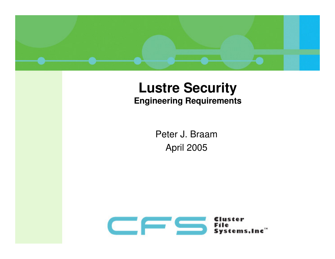

#### **Lustre SecurityEngineering Requirements**

Peter J. BraamApril 2005

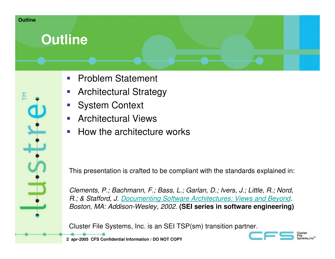

### **Outline**

- $\mathcal{L}^{\text{max}}$ Problem Statement
- $\mathcal{L}_{\mathcal{A}}$ Architectural Strategy
- System Context
- **Service Service** Architectural Views
- **STATE** How the architecture works

This presentation is crafted to be compliant with the standards explained in:

Clements, P.; Bachmann, F.; Bass, L.; Garlan, D.; Ivers, J.; Little, R.; Nord, R.; & Stafford, J. Documenting Software Architectures: Views and Beyond. Boston, MA: Addison-Wesley, 2002. **(SEI series in software engineering)**

Cluster File Systems, Inc. is an SEI TSP(sm) transition partner.

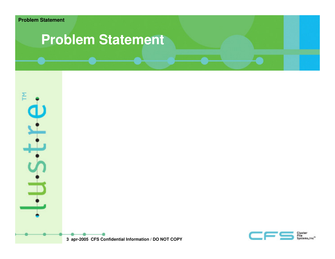### **Problem Statement**



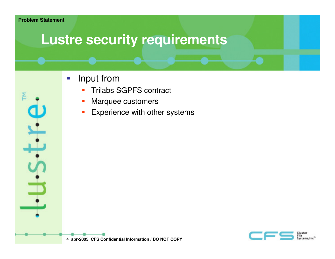# **Lustre security requirements**

- $\mathcal{L}_{\mathcal{A}}$  Input from
	- **Trilabs SGPFS contract** П
	- П Marquee customers
	- **Experience with other systems**  $\mathcal{C}$

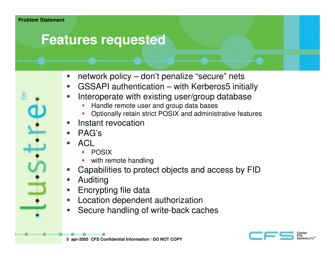### **Features requested**

- $\mathcal{C}_{\mathcal{A}}$ network policy – don't penalize "secure" nets
- GSSAPI authentication with Kerberos5 initially **Service Service**
- **Service Service**  Interoperate with existing user/group database
	- ▉ Handle remote user and group data bases
	- **•** Optionally retain strict POSIX and administrative features ▉
- e<br>S Instant revocation
- e<br>S PAG's
- ACL
	- POSIX ▉
	- ▉ with remote handling
- **Capabilities to protect objects and access by FID Service Service**
- **Service Service** Auditing
- **Encrypting file data Service Service**
- **Location dependent authorization Service Service**
- **Secure handling of write-back caches Service Service**



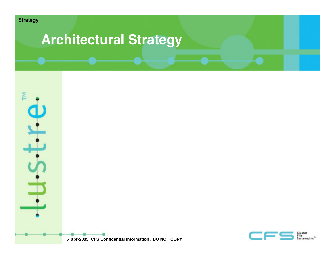

# **Architectural Strategy**



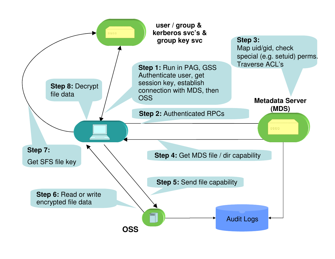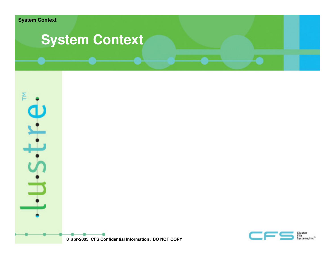

## **System Context**



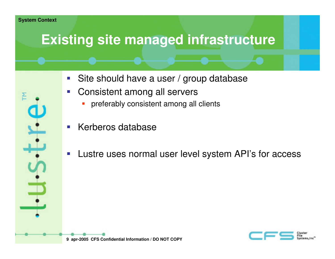# **Existing site managed infrastructure**

- Site should have a user / group database
- $\overline{\mathcal{M}}$  Consistent among all servers
	- **Perferably consistent among all clients** П
- **STATE** Kerberos database
- $\mathcal{L}_{\mathcal{A}}$ Lustre uses normal user level system API's for access

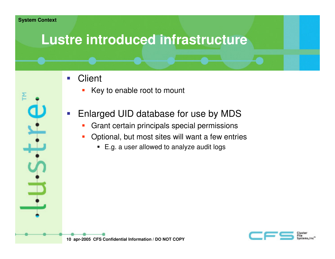## **Lustre introduced infrastructure**

- $\mathcal{L}^{\text{max}}$ **Client** 
	- П Key to enable root to mount
- $\mathbb{R}^3$  Enlarged UID database for use by MDS
	- **Grant certain principals special permissions**  $\mathcal{L}_{\mathcal{A}}$
	- $\mathcal{L}_{\mathcal{A}}$  Optional, but most sites will want a few entries
		- E.g. a user allowed to analyze audit logs

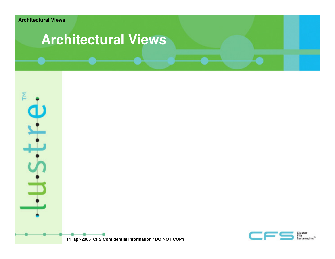## **Architectural Views**



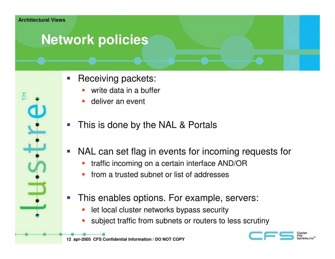# **Network policies**

- $\mathcal{L}_{\mathcal{A}}$  Receiving packets:
	- П write data in a buffer
	- П deliver an event
- **STATE** This is done by the NAL & Portals
- **Service Service**  NAL can set flag in events for incoming requests for
	- H traffic incoming on a certain interface AND/OR
	- П from a trusted subnet or list of addresses
- **STATE**  This enables options. For example, servers:
	- П let local cluster networks bypass security
	- П subject traffic from subnets or routers to less scrutiny

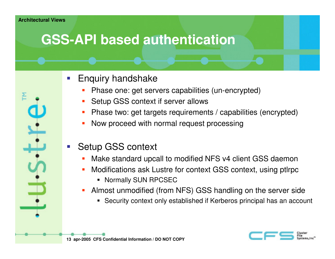# **GSS-API based authentication**

- $\left\vert \cdot\right\vert$  Enquiry handshake
	- П Phase one: get servers capabilities (un-encrypted)
	- П Setup GSS context if server allows
	- П Phase two: get targets requirements / capabilities (encrypted)
	- П Now proceed with normal request processing
- Setup GSS context
	- П Make standard upcall to modified NFS v4 client GSS daemon
	- **Modifications ask Lustre for context GSS context, using ptirpc** П
		- Normally SUN RPCSEC
	- Almost unmodified (from NFS) GSS handling on the server sideП
		- Security context only established if Kerberos principal has an account



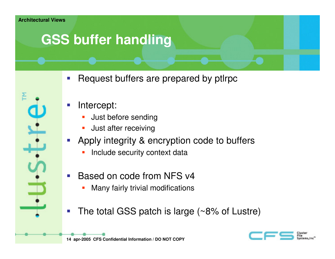# **GSS buffer handling**

Request buffers are prepared by ptlrpc



- Intercept:
	- П Just before sending
	- **Just after receiving** H
- Apply integrity & encryption code to buffers
	- П Include security context data
- Based on code from NFS v4
	- **Many fairly trivial modifications** П
- The total GSS patch is large (~8% of Lustre)



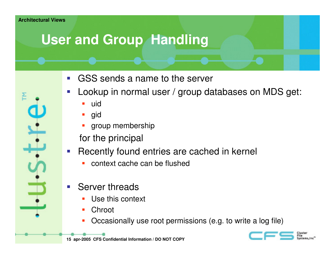# **User and Group Handling**

- **GSS** sends a name to the server
- **STATE**  Lookup in normal user / group databases on MDS get:
	- П uid
	- П gid
	- П group membership
	- for the principal
- **Service Service**  Recently found entries are cached in kernel
	- H context cache can be flushed
- **STATE**  Server threads
	- **Use this context** H
	- П **Chroot**
	- П Occasionally use root permissions (e.g. to write a log file)

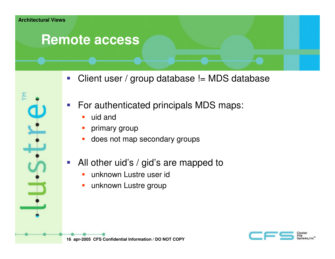#### **Remote access**

- $\mathcal{L}_{\mathcal{A}}$ Client user / group database != MDS database
- $\mathcal{L}_{\mathcal{A}}$  For authenticated principals MDS maps:
	- $\blacksquare$ uid and
	- H primary group
	- П does not map secondary groups
- $\mathcal{L}_{\mathcal{A}}$  All other uid's / gid's are mapped to
	- $\blacksquare$ unknown Lustre user id
	- П unknown Lustre group

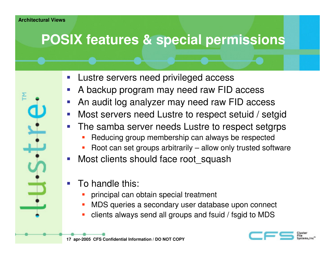# **POSIX features & special permissions**

- **STATE** Lustre servers need privileged access
- **A backup program may need raw FID access**
- **An audit log analyzer may need raw FID access**
- **Most servers need Lustre to respect setuid / setgid STATE**
- **The samba server needs Lustre to respect setgrps** 
	- П Reducing group membership can always be respected
	- **-** Root can set groups arbitrarily allow only trusted software П
- **STATE** Most clients should face root squash
- To handle this:
	- П principal can obtain special treatment
	- П MDS queries a secondary user database upon connect
	- П clients always send all groups and fsuid / fsgid to MDS

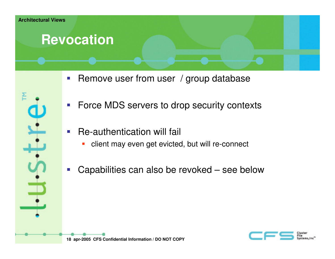#### **Revocation**

- 
- $\overline{\mathcal{L}}$ Remove user from user / group database
- $\mathcal{L}_{\mathcal{A}}$ Force MDS servers to drop security contexts
- $\mathcal{L}_{\mathcal{A}}$  Re-authentication will fail
	- $\overline{\mathbb{R}}$ client may even get evicted, but will re-connect
- **Service Service** Capabilities can also be revoked – see below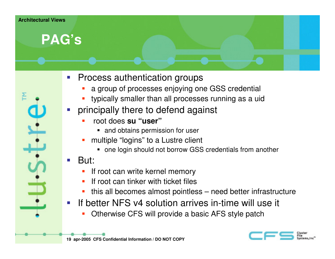#### **Architectural Views**

#### **PAG's**

- **Service Service**  Process authentication groups
	- **a** group of processes enjoying one GSS credential П
	- H typically smaller than all processes running as a uid
- principally there to defend against
	- П root does **su "user"**
		- **and obtains permission for user**
	- П multiple "logins" to a Lustre client
		- one login should not borrow GSS credentials from another
- But:
	- П If root can write kernel memory
	- **If root can tinker with ticket files** П
	- this all becomes almost pointless need better infrastructureП
- **Service Service**  If better NFS v4 solution arrives in-time will use it
	- П Otherwise CFS will provide a basic AFS style patch



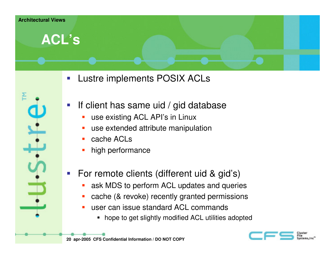

- $\mathbb{R}^3$ Lustre implements POSIX ACLs
- $\mathbb{R}^3$  If client has same uid / gid database
	- П use existing ACL API's in Linux
	- H use extended attribute manipulation
	- П cache ACLs
	- П high performance
- For remote clients (different uid & gid's)
	- П ask MDS to perform ACL updates and queries
	- H cache (& revoke) recently granted permissions
	- П user can issue standard ACL commands
		- hope to get slightly modified ACL utilities adopted

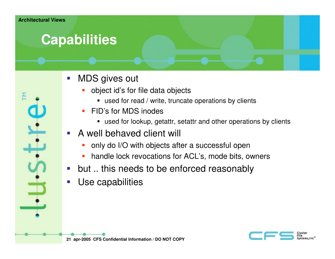## **Capabilities**

- $\mathcal{L}_{\mathcal{A}}$  MDS gives out
	- П object id's for file data objects
		- used for read / write, truncate operations by clients
	- ▉ FID's for MDS inodes
		- used for lookup, getattr, setattr and other operations by clients
- **A** well behaved client will
	- П only do I/O with objects after a successful open
	- **handle lock revocations for ACL's, mode bits, owners** П
- **Service Service** but .. this needs to be enforced reasonably
- Use capabilities

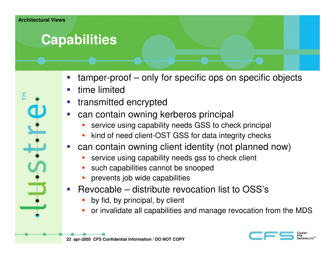## **Capabilities**

- **Service Service** tamper-proof – only for specific ops on specific objects
- time limited
- **•** transmitted encrypted
- **Can contain owning kerberos principal Service Service** 
	- П service using capability needs GSS to check principal
	- H kind of need client-OST GSS for data integrity checks
- can contain owning client identity (not planned now)
	- П service using capability needs gss to check client
	- П such capabilities cannot be snooped
	- П prevents job wide capabilities
- **Service Service**  Revocable – distribute revocation list to OSS's
	- П by fid, by principal, by client
	- H or invalidate all capabilities and manage revocation from the MDS

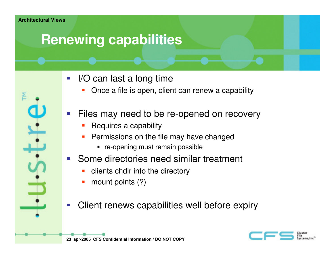# **Renewing capabilities**

- $\mathcal{L}^{\text{max}}$  I/O can last a long time
	- Once a file is open, client can renew a capability П
- Files may need to be re-opened on recovery
	- П Requires a capability
	- П Permissions on the file may have changed
		- **•** re-opening must remain possible
- **Some directories need similar treatment** 
	- П clients chdir into the directory
	- П mount points (?)
- Client renews capabilities well before expiry



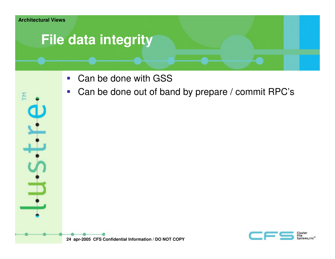

# **File data integrity**

- Can be done with GSS
- Can be done out of band by prepare / commit RPC's $\mathcal{L}_{\mathcal{A}}$



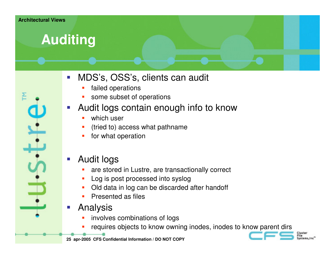# **Auditing**

- 
- $\mathbb{R}^3$  MDS's, OSS's, clients can audit
	- ▉ failed operations
	- **some subset of operations** ▉
- Audit logs contain enough info to know
	- ▉ which user
	- ▉ (tried to) access what pathname
	- ▉ for what operation
- $\mathcal{L}_{\mathcal{A}}$  Audit logs
	- **are stored in Lustre, are transactionally correct** ▉
	- ▉ Log is post processed into syslog
	- **Did data in log can be discarded after handoff** ▉
	- ▉ Presented as files
- Analysis
	- **EXECO** involves combinations of logs ▉
	- **P** requires objects to know owning inodes, inodes to know parent dirs ▉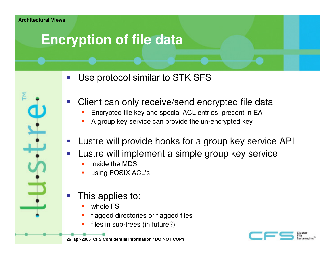# **Encryption of file data**

- **STATE** Use protocol similar to STK SFS
- Client can only receive/send encrypted file data
	- ▉ Encrypted file key and special ACL entries present in EA
	- ▉ A group key service can provide the un-encrypted key
- **STATE** Lustre will provide hooks for a group key service API
- Lustre will implement a simple group key service
	- ▉ inside the MDS
	- using POSIX ACL's ▉
- This applies to:
	- ▉ whole FS
	- ▉ flagged directories or flagged files
	- ▉ files in sub-trees (in future?)

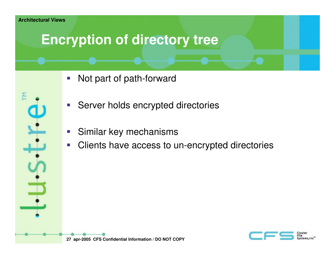#### **Architectural Views**

## **Encryption of directory tree**

- $\mathcal{L}_{\mathcal{A}}$ Not part of path-forward
- $\overline{\mathbb{R}^2}$ Server holds encrypted directories
- **STATE** Similar key mechanisms
- $\mathcal{L}_{\mathcal{A}}$ Clients have access to un-encrypted directories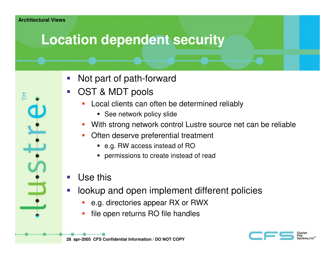## **Location dependent security**

- Not part of path-forward
- OST & MDT pools
	- **Local clients can often be determined reliably** П
		- See network policy slide
	- П With strong network control Lustre source net can be reliable
	- П Often deserve preferential treatment
		- e.g. RW access instead of RO
		- **Permissions to create instead of read**
- **STATE** Use this
- **STATE**  lookup and open implement different policies
	- П e.g. directories appear RX or RWX
	- П file open returns RO file handles

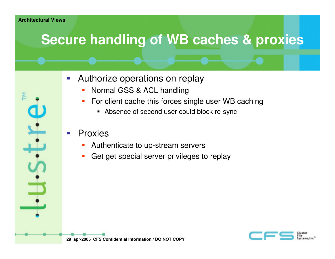# **Secure handling of WB caches & proxies**

- $\mathcal{L}_{\mathcal{A}}$  Authorize operations on replay
	- П Normal GSS & ACL handling
	- П For client cache this forces single user WB caching
		- Absence of second user could block re-sync

#### **STATE** Proxies

- П Authenticate to up-stream servers
- П Get get special server privileges to replay

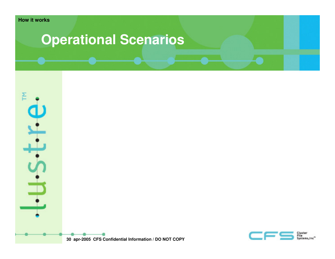## **Operational Scenarios**



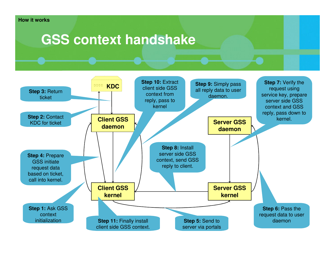#### **How it works**

#### **GSS context handshake**

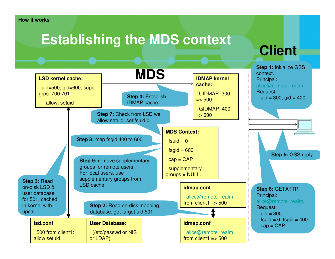#### **How it works**

## **Establishing the MDS context**

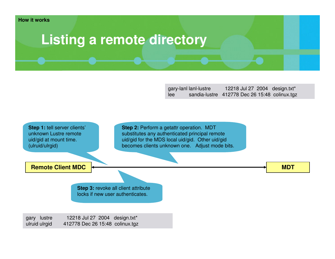### **Listing a remote directory**

gary-lanl lanl-lustre 12218 Jul 27 2004 design.txt\*lee sandia-lustre 412778 Dec 26 15:48 colinux.tgz

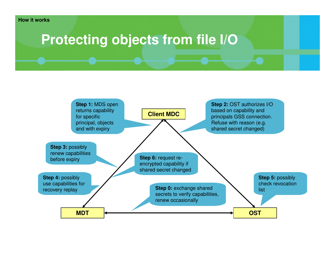### **Protecting objects from file I/O**